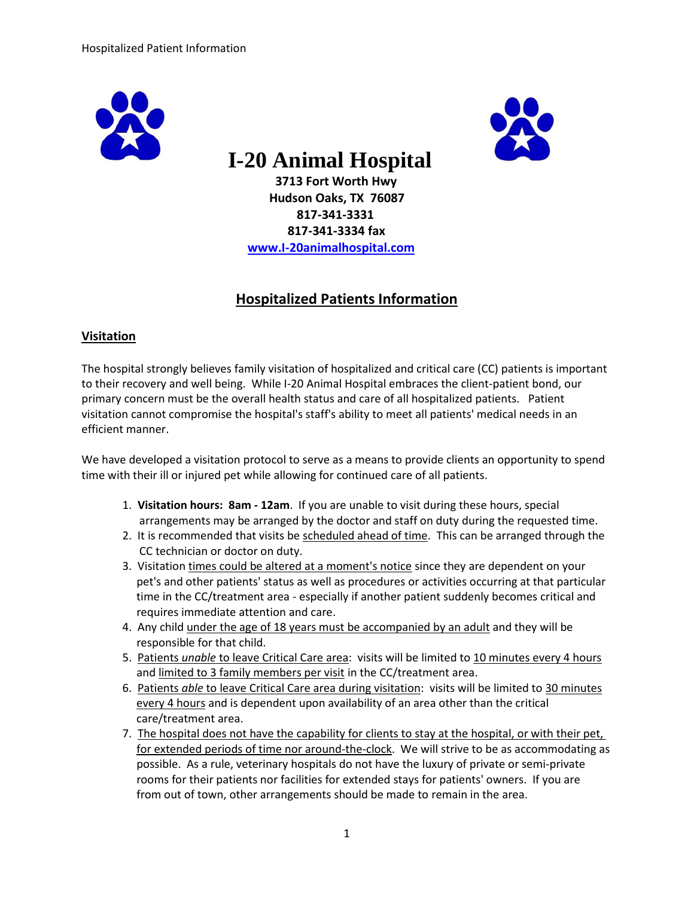



# **I-20 Animal Hospital**

 **3713 Fort Worth Hwy Hudson Oaks, TX 76087 817-341-3331 817-341-3334 fax [www.I-20animalhospital.com](http://www.i-20animalhospital.com/)**

## **Hospitalized Patients Information**

### **Visitation**

The hospital strongly believes family visitation of hospitalized and critical care (CC) patients is important to their recovery and well being. While I-20 Animal Hospital embraces the client-patient bond, our primary concern must be the overall health status and care of all hospitalized patients. Patient visitation cannot compromise the hospital's staff's ability to meet all patients' medical needs in an efficient manner.

We have developed a visitation protocol to serve as a means to provide clients an opportunity to spend time with their ill or injured pet while allowing for continued care of all patients.

- 1. **Visitation hours: 8am - 12am**. If you are unable to visit during these hours, special arrangements may be arranged by the doctor and staff on duty during the requested time.
- 2. It is recommended that visits be scheduled ahead of time. This can be arranged through the CC technician or doctor on duty.
- 3. Visitation times could be altered at a moment's notice since they are dependent on your pet's and other patients' status as well as procedures or activities occurring at that particular time in the CC/treatment area - especially if another patient suddenly becomes critical and requires immediate attention and care.
- 4. Any child under the age of 18 years must be accompanied by an adult and they will be responsible for that child.
- 5. Patients *unable* to leave Critical Care area: visits will be limited to 10 minutes every 4 hours and limited to 3 family members per visit in the CC/treatment area.
- 6. Patients *able* to leave Critical Care area during visitation: visits will be limited to 30 minutes every 4 hours and is dependent upon availability of an area other than the critical care/treatment area.
- 7. The hospital does not have the capability for clients to stay at the hospital, or with their pet, for extended periods of time nor around-the-clock. We will strive to be as accommodating as possible. As a rule, veterinary hospitals do not have the luxury of private or semi-private rooms for their patients nor facilities for extended stays for patients' owners. If you are from out of town, other arrangements should be made to remain in the area.